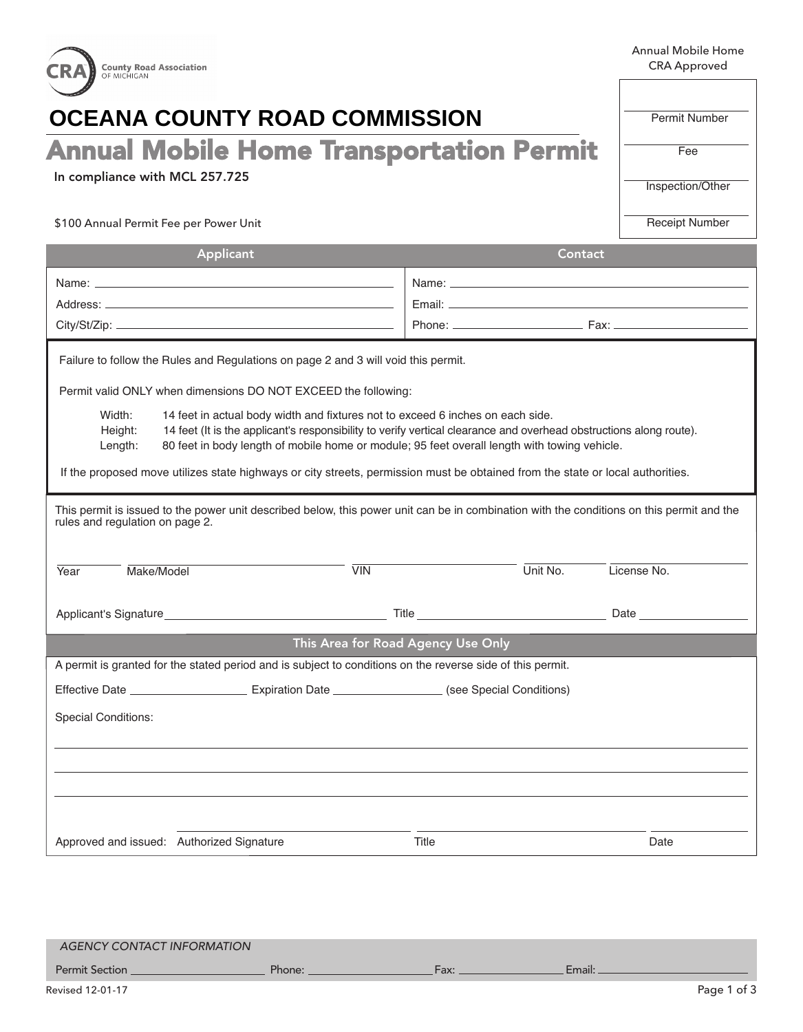| <b>County Road Association</b><br>OF MICHIGAN                                                                                                                                                                                                                                                                                                                                                                                                                                                                                                                                                                                                                                                                                                                                                                                                                                                                                  |                                    | <b>Annual Mobile Home</b><br><b>CRA Approved</b> |  |  |  |  |
|--------------------------------------------------------------------------------------------------------------------------------------------------------------------------------------------------------------------------------------------------------------------------------------------------------------------------------------------------------------------------------------------------------------------------------------------------------------------------------------------------------------------------------------------------------------------------------------------------------------------------------------------------------------------------------------------------------------------------------------------------------------------------------------------------------------------------------------------------------------------------------------------------------------------------------|------------------------------------|--------------------------------------------------|--|--|--|--|
| <b>OCEANA COUNTY ROAD COMMISSION</b>                                                                                                                                                                                                                                                                                                                                                                                                                                                                                                                                                                                                                                                                                                                                                                                                                                                                                           | <b>Permit Number</b>               |                                                  |  |  |  |  |
| <b>Annual Mobile Home Transportation Permit</b>                                                                                                                                                                                                                                                                                                                                                                                                                                                                                                                                                                                                                                                                                                                                                                                                                                                                                | Fee                                |                                                  |  |  |  |  |
| In compliance with MCL 257.725                                                                                                                                                                                                                                                                                                                                                                                                                                                                                                                                                                                                                                                                                                                                                                                                                                                                                                 | Inspection/Other                   |                                                  |  |  |  |  |
| \$100 Annual Permit Fee per Power Unit                                                                                                                                                                                                                                                                                                                                                                                                                                                                                                                                                                                                                                                                                                                                                                                                                                                                                         |                                    | <b>Receipt Number</b>                            |  |  |  |  |
| Applicant                                                                                                                                                                                                                                                                                                                                                                                                                                                                                                                                                                                                                                                                                                                                                                                                                                                                                                                      | Contact                            |                                                  |  |  |  |  |
|                                                                                                                                                                                                                                                                                                                                                                                                                                                                                                                                                                                                                                                                                                                                                                                                                                                                                                                                |                                    |                                                  |  |  |  |  |
|                                                                                                                                                                                                                                                                                                                                                                                                                                                                                                                                                                                                                                                                                                                                                                                                                                                                                                                                |                                    |                                                  |  |  |  |  |
|                                                                                                                                                                                                                                                                                                                                                                                                                                                                                                                                                                                                                                                                                                                                                                                                                                                                                                                                |                                    |                                                  |  |  |  |  |
| Failure to follow the Rules and Regulations on page 2 and 3 will void this permit.<br>Permit valid ONLY when dimensions DO NOT EXCEED the following:<br>Width:<br>14 feet in actual body width and fixtures not to exceed 6 inches on each side.<br>14 feet (It is the applicant's responsibility to verify vertical clearance and overhead obstructions along route).<br>Height:<br>80 feet in body length of mobile home or module; 95 feet overall length with towing vehicle.<br>Length:<br>If the proposed move utilizes state highways or city streets, permission must be obtained from the state or local authorities.<br>This permit is issued to the power unit described below, this power unit can be in combination with the conditions on this permit and the<br>rules and regulation on page 2.<br>Make/Model<br>$\overline{V}$ IN<br>Unit No.<br>Year<br>License No.<br>Applicant's Signature<br>Title<br>Date |                                    |                                                  |  |  |  |  |
|                                                                                                                                                                                                                                                                                                                                                                                                                                                                                                                                                                                                                                                                                                                                                                                                                                                                                                                                | This Area for Road Agency Use Only |                                                  |  |  |  |  |
| A permit is granted for the stated period and is subject to conditions on the reverse side of this permit.                                                                                                                                                                                                                                                                                                                                                                                                                                                                                                                                                                                                                                                                                                                                                                                                                     |                                    |                                                  |  |  |  |  |
|                                                                                                                                                                                                                                                                                                                                                                                                                                                                                                                                                                                                                                                                                                                                                                                                                                                                                                                                |                                    |                                                  |  |  |  |  |
| <b>Special Conditions:</b>                                                                                                                                                                                                                                                                                                                                                                                                                                                                                                                                                                                                                                                                                                                                                                                                                                                                                                     |                                    |                                                  |  |  |  |  |
| Approved and issued: Authorized Signature                                                                                                                                                                                                                                                                                                                                                                                                                                                                                                                                                                                                                                                                                                                                                                                                                                                                                      | Title                              | Date                                             |  |  |  |  |
|                                                                                                                                                                                                                                                                                                                                                                                                                                                                                                                                                                                                                                                                                                                                                                                                                                                                                                                                |                                    |                                                  |  |  |  |  |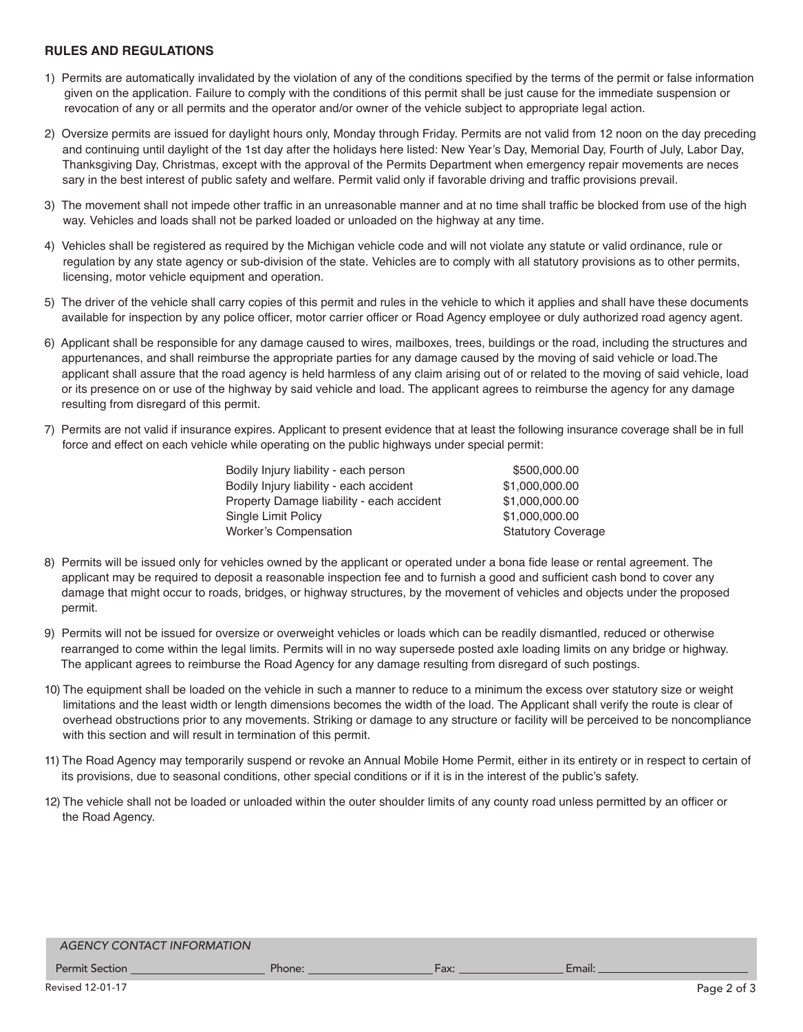## **RULES AND REGULATIONS**

- 1) Permits are automatically invalidated by the violation of any of the conditions specified by the terms of the permit or false information given on the application. Failure to comply with the conditions of this permit shall be just cause for the immediate suspension or revocation of any or all permits and the operator and/or owner of the vehicle subject to appropriate legal action.
- 2) Oversize permits are issued for daylight hours only, Monday through Friday. Permits are not valid from 12 noon on the day preceding and continuing until daylight of the 1st day after the holidays here listed: New Year's Day, Memorial Day, Fourth of July, Labor Day, Thanksgiving Day, Christmas, except with the approval of the Permits Department when emergency repair movements are neces sary in the best interest of public safety and welfare. Permit valid only if favorable driving and traffic provisions prevail.
- 3) The movement shall not impede other traffic in an unreasonable manner and at no time shall traffic be blocked from use of the high way. Vehicles and loads shall not be parked loaded or unloaded on the highway at any time.
- 4) Vehicles shall be registered as required by the Michigan vehicle code and will not violate any statute or valid ordinance, rule or regulation by any state agency or sub-division of the state. Vehicles are to comply with all statutory provisions as to other permits, licensing, motor vehicle equipment and operation.
- 5) The driver of the vehicle shall carry copies of this permit and rules in the vehicle to which it applies and shall have these documents available for inspection by any police officer, motor carrier officer or Road Agency employee or duly authorized road agency agent.
- 6) Applicant shall be responsible for any damage caused to wires, mailboxes, trees, buildings or the road, including the structures and appurtenances, and shall reimburse the appropriate parties for any damage caused by the moving of said vehicle or load.The applicant shall assure that the road agency is held harmless of any claim arising out of or related to the moving of said vehicle, load or its presence on or use of the highway by said vehicle and load. The applicant agrees to reimburse the agency for any damage resulting from disregard of this permit.
- 7) Permits are not valid if insurance expires. Applicant to present evidence that at least the following insurance coverage shall be in full force and effect on each vehicle while operating on the public highways under special permit:

| Bodily Injury liability - each person     | \$500,000.00              |
|-------------------------------------------|---------------------------|
| Bodily Injury liability - each accident   | \$1,000,000.00            |
| Property Damage liability - each accident | \$1,000,000.00            |
| Single Limit Policy                       | \$1,000,000.00            |
| Worker's Compensation                     | <b>Statutory Coverage</b> |

- 8) Permits will be issued only for vehicles owned by the applicant or operated under a bona fide lease or rental agreement. The applicant may be required to deposit a reasonable inspection fee and to furnish a good and sufficient cash bond to cover any damage that might occur to roads, bridges, or highway structures, by the movement of vehicles and objects under the proposed permit.
- 9) Permits will not be issued for oversize or overweight vehicles or loads which can be readily dismantled, reduced or otherwise rearranged to come within the legal limits. Permits will in no way supersede posted axle loading limits on any bridge or highway. The applicant agrees to reimburse the Road Agency for any damage resulting from disregard of such postings.
- 10) The equipment shall be loaded on the vehicle in such a manner to reduce to a minimum the excess over statutory size or weight limitations and the least width or length dimensions becomes the width of the load. The Applicant shall verify the route is clear of overhead obstructions prior to any movements. Striking or damage to any structure or facility will be perceived to be noncompliance with this section and will result in termination of this permit.
- 11) The Road Agency may temporarily suspend or revoke an Annual Mobile Home Permit, either in its entirety or in respect to certain of its provisions, due to seasonal conditions, other special conditions or if it is in the interest of the public's safety.
- 12) The vehicle shall not be loaded or unloaded within the outer shoulder limits of any county road unless permitted by an officer or the Road Agency.

## *AGENCY CONTACT INFORMATION*